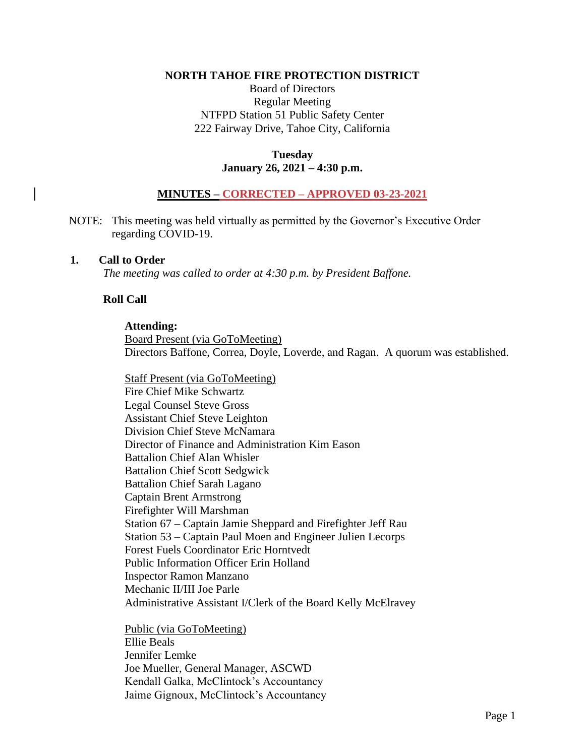#### **NORTH TAHOE FIRE PROTECTION DISTRICT**

Board of Directors Regular Meeting NTFPD Station 51 Public Safety Center 222 Fairway Drive, Tahoe City, California

### **Tuesday January 26, 2021 – 4:30 p.m.**

## **MINUTES – CORRECTED – APPROVED 03-23-2021**

NOTE: This meeting was held virtually as permitted by the Governor's Executive Order regarding COVID-19.

#### **1. Call to Order**

*The meeting was called to order at 4:30 p.m. by President Baffone.*

## **Roll Call**

#### **Attending:**

Board Present (via GoToMeeting) Directors Baffone, Correa, Doyle, Loverde, and Ragan. A quorum was established.

Staff Present (via GoToMeeting) Fire Chief Mike Schwartz Legal Counsel Steve Gross Assistant Chief Steve Leighton Division Chief Steve McNamara Director of Finance and Administration Kim Eason Battalion Chief Alan Whisler Battalion Chief Scott Sedgwick Battalion Chief Sarah Lagano Captain Brent Armstrong Firefighter Will Marshman Station 67 – Captain Jamie Sheppard and Firefighter Jeff Rau Station 53 – Captain Paul Moen and Engineer Julien Lecorps Forest Fuels Coordinator Eric Horntvedt Public Information Officer Erin Holland Inspector Ramon Manzano Mechanic II/III Joe Parle Administrative Assistant I/Clerk of the Board Kelly McElravey

Public (via GoToMeeting) Ellie Beals Jennifer Lemke Joe Mueller, General Manager, ASCWD Kendall Galka, McClintock's Accountancy Jaime Gignoux, McClintock's Accountancy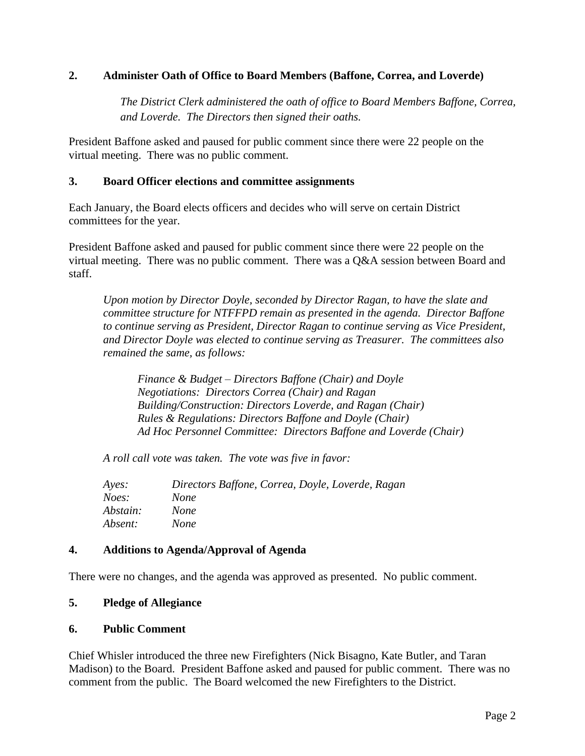# **2. Administer Oath of Office to Board Members (Baffone, Correa, and Loverde)**

*The District Clerk administered the oath of office to Board Members Baffone, Correa, and Loverde. The Directors then signed their oaths.*

President Baffone asked and paused for public comment since there were 22 people on the virtual meeting. There was no public comment.

## **3. Board Officer elections and committee assignments**

Each January, the Board elects officers and decides who will serve on certain District committees for the year.

President Baffone asked and paused for public comment since there were 22 people on the virtual meeting. There was no public comment. There was a Q&A session between Board and staff.

*Upon motion by Director Doyle, seconded by Director Ragan, to have the slate and committee structure for NTFFPD remain as presented in the agenda. Director Baffone to continue serving as President, Director Ragan to continue serving as Vice President, and Director Doyle was elected to continue serving as Treasurer. The committees also remained the same, as follows:* 

*Finance & Budget – Directors Baffone (Chair) and Doyle Negotiations: Directors Correa (Chair) and Ragan Building/Construction: Directors Loverde, and Ragan (Chair) Rules & Regulations: Directors Baffone and Doyle (Chair) Ad Hoc Personnel Committee: Directors Baffone and Loverde (Chair)*

*A roll call vote was taken. The vote was five in favor:*

| Ayes:    | Directors Baffone, Correa, Doyle, Loverde, Ragan |
|----------|--------------------------------------------------|
| Noes:    | None                                             |
| Abstain: | <i>None</i>                                      |
| Absent:  | None                                             |

### **4. Additions to Agenda/Approval of Agenda**

There were no changes, and the agenda was approved as presented. No public comment.

### **5. Pledge of Allegiance**

### **6. Public Comment**

Chief Whisler introduced the three new Firefighters (Nick Bisagno, Kate Butler, and Taran Madison) to the Board. President Baffone asked and paused for public comment. There was no comment from the public. The Board welcomed the new Firefighters to the District.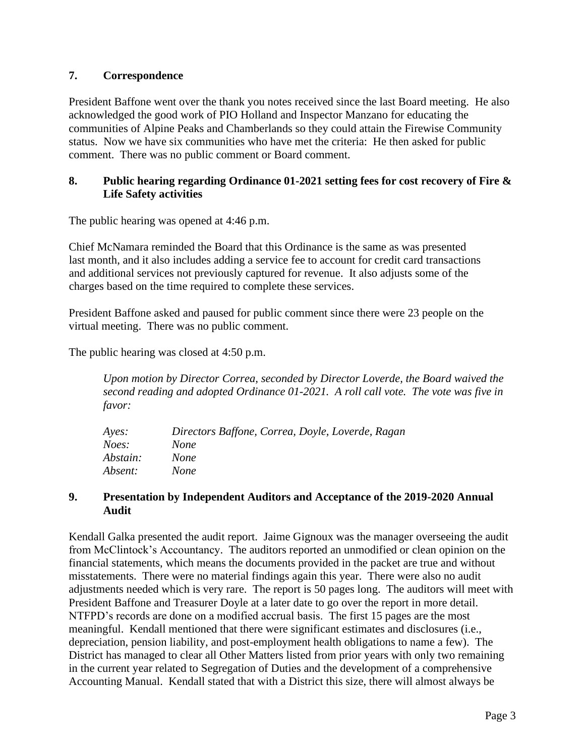# **7. Correspondence**

President Baffone went over the thank you notes received since the last Board meeting. He also acknowledged the good work of PIO Holland and Inspector Manzano for educating the communities of Alpine Peaks and Chamberlands so they could attain the Firewise Community status. Now we have six communities who have met the criteria: He then asked for public comment. There was no public comment or Board comment.

# **8. Public hearing regarding Ordinance 01-2021 setting fees for cost recovery of Fire & Life Safety activities**

The public hearing was opened at 4:46 p.m.

Chief McNamara reminded the Board that this Ordinance is the same as was presented last month, and it also includes adding a service fee to account for credit card transactions and additional services not previously captured for revenue. It also adjusts some of the charges based on the time required to complete these services.

President Baffone asked and paused for public comment since there were 23 people on the virtual meeting. There was no public comment.

The public hearing was closed at 4:50 p.m.

*Upon motion by Director Correa, seconded by Director Loverde, the Board waived the second reading and adopted Ordinance 01-2021. A roll call vote. The vote was five in favor:*

| Ayes:    | Directors Baffone, Correa, Doyle, Loverde, Ragan |
|----------|--------------------------------------------------|
| Noes:    | <i>None</i>                                      |
| Abstain: | <i>None</i>                                      |
| Absent:  | <i>None</i>                                      |

### **9. Presentation by Independent Auditors and Acceptance of the 2019-2020 Annual Audit**

Kendall Galka presented the audit report. Jaime Gignoux was the manager overseeing the audit from McClintock's Accountancy. The auditors reported an unmodified or clean opinion on the financial statements, which means the documents provided in the packet are true and without misstatements. There were no material findings again this year. There were also no audit adjustments needed which is very rare. The report is 50 pages long. The auditors will meet with President Baffone and Treasurer Doyle at a later date to go over the report in more detail. NTFPD's records are done on a modified accrual basis. The first 15 pages are the most meaningful. Kendall mentioned that there were significant estimates and disclosures (i.e., depreciation, pension liability, and post-employment health obligations to name a few). The District has managed to clear all Other Matters listed from prior years with only two remaining in the current year related to Segregation of Duties and the development of a comprehensive Accounting Manual. Kendall stated that with a District this size, there will almost always be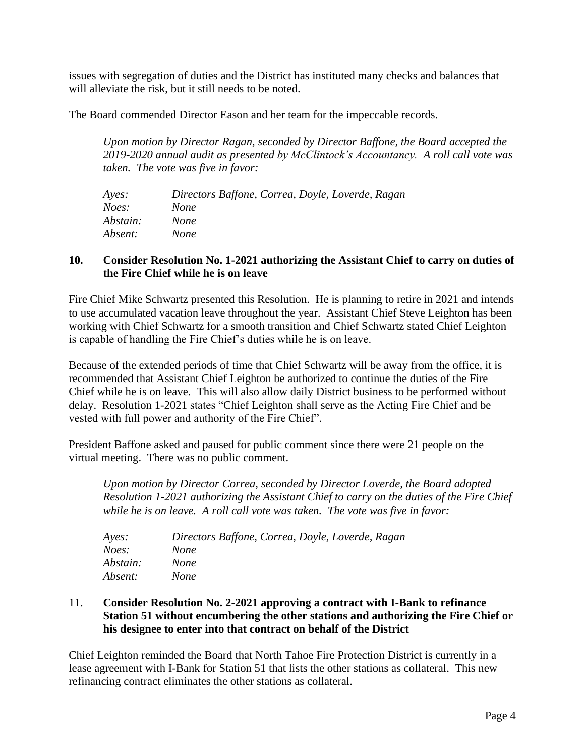issues with segregation of duties and the District has instituted many checks and balances that will alleviate the risk, but it still needs to be noted.

The Board commended Director Eason and her team for the impeccable records.

*Upon motion by Director Ragan, seconded by Director Baffone, the Board accepted the 2019-2020 annual audit as presented by McClintock's Accountancy. A roll call vote was taken. The vote was five in favor:*

| Ayes:    | Directors Baffone, Correa, Doyle, Loverde, Ragan |
|----------|--------------------------------------------------|
| Noes:    | <i>None</i>                                      |
| Abstain: | <i>None</i>                                      |
| Absent:  | <i>None</i>                                      |

## **10. Consider Resolution No. 1-2021 authorizing the Assistant Chief to carry on duties of the Fire Chief while he is on leave**

Fire Chief Mike Schwartz presented this Resolution. He is planning to retire in 2021 and intends to use accumulated vacation leave throughout the year. Assistant Chief Steve Leighton has been working with Chief Schwartz for a smooth transition and Chief Schwartz stated Chief Leighton is capable of handling the Fire Chief's duties while he is on leave.

Because of the extended periods of time that Chief Schwartz will be away from the office, it is recommended that Assistant Chief Leighton be authorized to continue the duties of the Fire Chief while he is on leave. This will also allow daily District business to be performed without delay. Resolution 1-2021 states "Chief Leighton shall serve as the Acting Fire Chief and be vested with full power and authority of the Fire Chief".

President Baffone asked and paused for public comment since there were 21 people on the virtual meeting. There was no public comment.

*Upon motion by Director Correa, seconded by Director Loverde, the Board adopted Resolution 1-2021 authorizing the Assistant Chief to carry on the duties of the Fire Chief while he is on leave. A roll call vote was taken. The vote was five in favor:*

| Ayes:    | Directors Baffone, Correa, Doyle, Loverde, Ragan |
|----------|--------------------------------------------------|
| Noes:    | None                                             |
| Abstain: | <i>None</i>                                      |
| Absent:  | None                                             |

## 11. **Consider Resolution No. 2-2021 approving a contract with I-Bank to refinance Station 51 without encumbering the other stations and authorizing the Fire Chief or his designee to enter into that contract on behalf of the District**

Chief Leighton reminded the Board that North Tahoe Fire Protection District is currently in a lease agreement with I-Bank for Station 51 that lists the other stations as collateral. This new refinancing contract eliminates the other stations as collateral.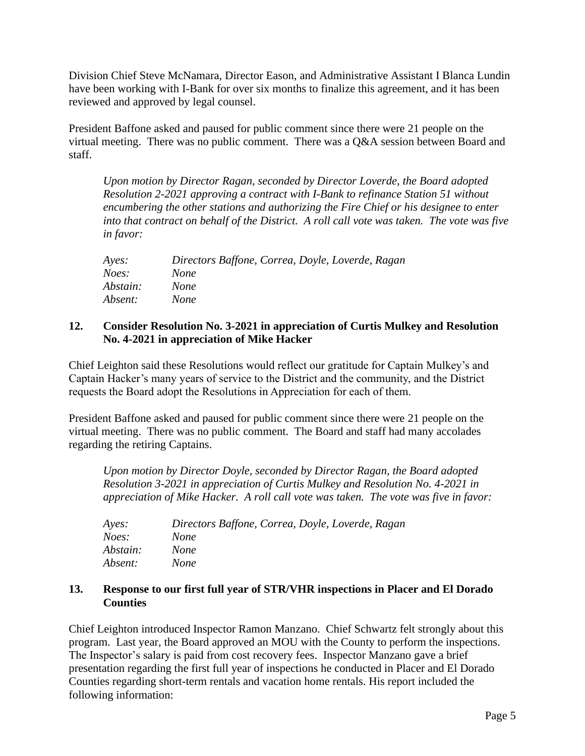Division Chief Steve McNamara, Director Eason, and Administrative Assistant I Blanca Lundin have been working with I-Bank for over six months to finalize this agreement, and it has been reviewed and approved by legal counsel.

President Baffone asked and paused for public comment since there were 21 people on the virtual meeting. There was no public comment. There was a Q&A session between Board and staff.

*Upon motion by Director Ragan, seconded by Director Loverde, the Board adopted Resolution 2-2021 approving a contract with I-Bank to refinance Station 51 without encumbering the other stations and authorizing the Fire Chief or his designee to enter into that contract on behalf of the District. A roll call vote was taken. The vote was five in favor:*

| Ayes:    | Directors Baffone, Correa, Doyle, Loverde, Ragan |
|----------|--------------------------------------------------|
| Noes:    | None                                             |
| Abstain: | <i>None</i>                                      |
| Absent:  | <i>None</i>                                      |

### **12. Consider Resolution No. 3-2021 in appreciation of Curtis Mulkey and Resolution No. 4-2021 in appreciation of Mike Hacker**

Chief Leighton said these Resolutions would reflect our gratitude for Captain Mulkey's and Captain Hacker's many years of service to the District and the community, and the District requests the Board adopt the Resolutions in Appreciation for each of them.

President Baffone asked and paused for public comment since there were 21 people on the virtual meeting. There was no public comment. The Board and staff had many accolades regarding the retiring Captains.

*Upon motion by Director Doyle, seconded by Director Ragan, the Board adopted Resolution 3-2021 in appreciation of Curtis Mulkey and Resolution No. 4-2021 in appreciation of Mike Hacker. A roll call vote was taken. The vote was five in favor:*

| Ayes:    | Directors Baffone, Correa, Doyle, Loverde, Ragan |
|----------|--------------------------------------------------|
| Noes:    | <i>None</i>                                      |
| Abstain: | <i>None</i>                                      |
| Absent:  | <i>None</i>                                      |

### **13. Response to our first full year of STR/VHR inspections in Placer and El Dorado Counties**

Chief Leighton introduced Inspector Ramon Manzano. Chief Schwartz felt strongly about this program. Last year, the Board approved an MOU with the County to perform the inspections. The Inspector's salary is paid from cost recovery fees. Inspector Manzano gave a brief presentation regarding the first full year of inspections he conducted in Placer and El Dorado Counties regarding short-term rentals and vacation home rentals. His report included the following information: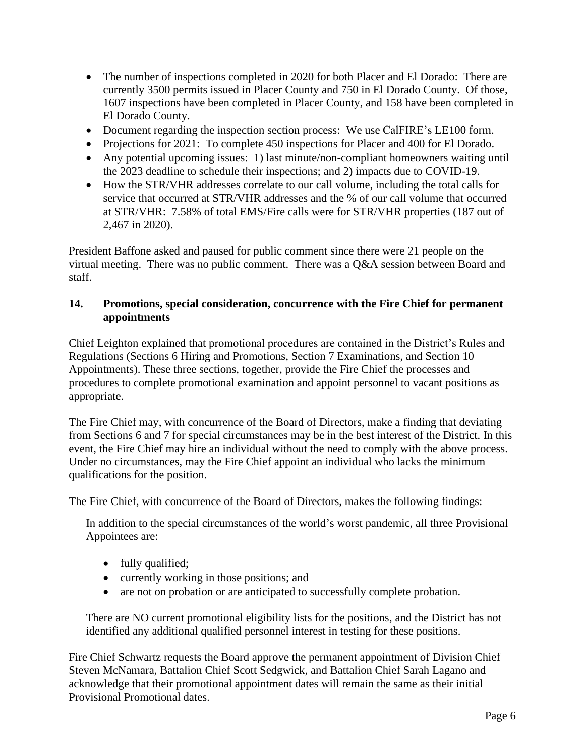- The number of inspections completed in 2020 for both Placer and El Dorado: There are currently 3500 permits issued in Placer County and 750 in El Dorado County. Of those, 1607 inspections have been completed in Placer County, and 158 have been completed in El Dorado County.
- Document regarding the inspection section process: We use CalFIRE's LE100 form.
- Projections for 2021: To complete 450 inspections for Placer and 400 for El Dorado.
- Any potential upcoming issues: 1) last minute/non-compliant homeowners waiting until the 2023 deadline to schedule their inspections; and 2) impacts due to COVID-19.
- How the STR/VHR addresses correlate to our call volume, including the total calls for service that occurred at STR/VHR addresses and the % of our call volume that occurred at STR/VHR: 7.58% of total EMS/Fire calls were for STR/VHR properties (187 out of 2,467 in 2020).

President Baffone asked and paused for public comment since there were 21 people on the virtual meeting. There was no public comment. There was a Q&A session between Board and staff.

# **14. Promotions, special consideration, concurrence with the Fire Chief for permanent appointments**

Chief Leighton explained that promotional procedures are contained in the District's Rules and Regulations (Sections 6 Hiring and Promotions, Section 7 Examinations, and Section 10 Appointments). These three sections, together, provide the Fire Chief the processes and procedures to complete promotional examination and appoint personnel to vacant positions as appropriate.

The Fire Chief may, with concurrence of the Board of Directors, make a finding that deviating from Sections 6 and 7 for special circumstances may be in the best interest of the District. In this event, the Fire Chief may hire an individual without the need to comply with the above process. Under no circumstances, may the Fire Chief appoint an individual who lacks the minimum qualifications for the position.

The Fire Chief, with concurrence of the Board of Directors, makes the following findings:

In addition to the special circumstances of the world's worst pandemic, all three Provisional Appointees are:

- fully qualified;
- currently working in those positions; and
- are not on probation or are anticipated to successfully complete probation.

There are NO current promotional eligibility lists for the positions, and the District has not identified any additional qualified personnel interest in testing for these positions.

Fire Chief Schwartz requests the Board approve the permanent appointment of Division Chief Steven McNamara, Battalion Chief Scott Sedgwick, and Battalion Chief Sarah Lagano and acknowledge that their promotional appointment dates will remain the same as their initial Provisional Promotional dates.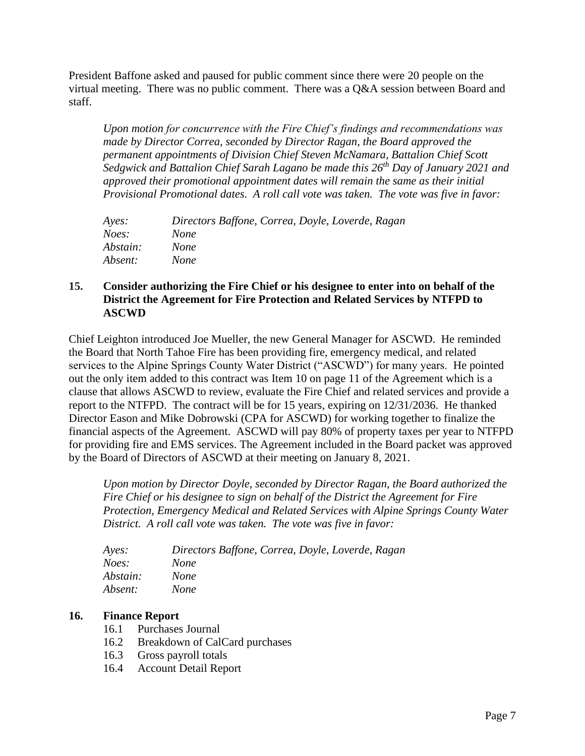President Baffone asked and paused for public comment since there were 20 people on the virtual meeting. There was no public comment. There was a Q&A session between Board and staff.

*Upon motion for concurrence with the Fire Chief's findings and recommendations was made by Director Correa, seconded by Director Ragan, the Board approved the permanent appointments of Division Chief Steven McNamara, Battalion Chief Scott Sedgwick and Battalion Chief Sarah Lagano be made this 26th Day of January 2021 and approved their promotional appointment dates will remain the same as their initial Provisional Promotional dates. A roll call vote was taken. The vote was five in favor:*

| $A$ <i>yes</i> : | Directors Baffone, Correa, Doyle, Loverde, Ragan |
|------------------|--------------------------------------------------|
| Noes:            | <i>None</i>                                      |
| Abstain:         | <i>None</i>                                      |
| Absent:          | <i>None</i>                                      |

# **15. Consider authorizing the Fire Chief or his designee to enter into on behalf of the District the Agreement for Fire Protection and Related Services by NTFPD to ASCWD**

Chief Leighton introduced Joe Mueller, the new General Manager for ASCWD. He reminded the Board that North Tahoe Fire has been providing fire, emergency medical, and related services to the Alpine Springs County Water District ("ASCWD") for many years. He pointed out the only item added to this contract was Item 10 on page 11 of the Agreement which is a clause that allows ASCWD to review, evaluate the Fire Chief and related services and provide a report to the NTFPD. The contract will be for 15 years, expiring on 12/31/2036. He thanked Director Eason and Mike Dobrowski (CPA for ASCWD) for working together to finalize the financial aspects of the Agreement. ASCWD will pay 80% of property taxes per year to NTFPD for providing fire and EMS services. The Agreement included in the Board packet was approved by the Board of Directors of ASCWD at their meeting on January 8, 2021.

*Upon motion by Director Doyle, seconded by Director Ragan, the Board authorized the Fire Chief or his designee to sign on behalf of the District the Agreement for Fire Protection, Emergency Medical and Related Services with Alpine Springs County Water District. A roll call vote was taken. The vote was five in favor:*

| Ayes:    | Directors Baffone, Correa, Doyle, Loverde, Ragan |
|----------|--------------------------------------------------|
| Noes:    | None                                             |
| Abstain: | None                                             |
| Absent:  | None                                             |
|          |                                                  |

# **16. Finance Report**

- 16.1 Purchases Journal
- 16.2 Breakdown of CalCard purchases
- 16.3 Gross payroll totals
- 16.4 Account Detail Report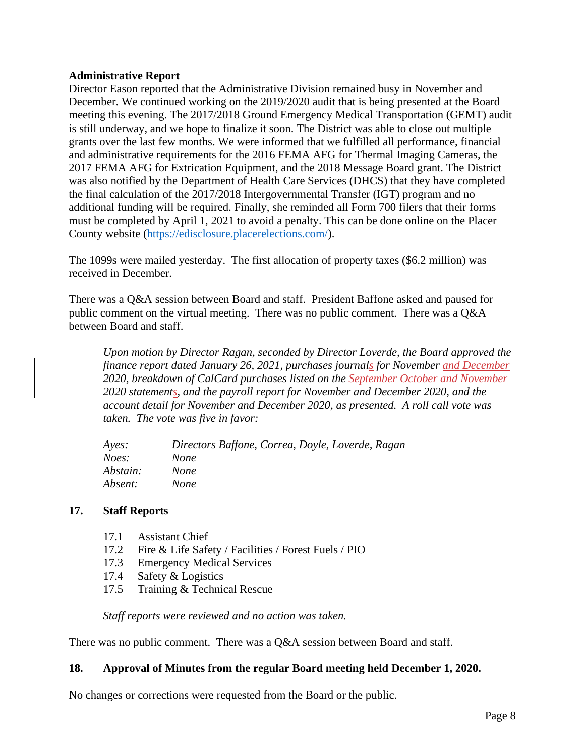### **Administrative Report**

Director Eason reported that the Administrative Division remained busy in November and December. We continued working on the 2019/2020 audit that is being presented at the Board meeting this evening. The 2017/2018 Ground Emergency Medical Transportation (GEMT) audit is still underway, and we hope to finalize it soon. The District was able to close out multiple grants over the last few months. We were informed that we fulfilled all performance, financial and administrative requirements for the 2016 FEMA AFG for Thermal Imaging Cameras, the 2017 FEMA AFG for Extrication Equipment, and the 2018 Message Board grant. The District was also notified by the Department of Health Care Services (DHCS) that they have completed the final calculation of the 2017/2018 Intergovernmental Transfer (IGT) program and no additional funding will be required. Finally, she reminded all Form 700 filers that their forms must be completed by April 1, 2021 to avoid a penalty. This can be done online on the Placer County website [\(https://edisclosure.placerelections.com/\)](https://edisclosure.placerelections.com/).

The 1099s were mailed yesterday. The first allocation of property taxes (\$6.2 million) was received in December.

There was a Q&A session between Board and staff. President Baffone asked and paused for public comment on the virtual meeting. There was no public comment. There was a Q&A between Board and staff.

*Upon motion by Director Ragan, seconded by Director Loverde, the Board approved the finance report dated January 26, 2021, purchases journals for November and December 2020, breakdown of CalCard purchases listed on the September October and November 2020 statements, and the payroll report for November and December 2020, and the account detail for November and December 2020, as presented. A roll call vote was taken. The vote was five in favor:*

| Ayes:    | Directors Baffone, Correa, Doyle, Loverde, Ragan |
|----------|--------------------------------------------------|
| Noes:    | None                                             |
| Abstain: | <i>None</i>                                      |
| Absent:  | None                                             |

### **17. Staff Reports**

- 
- 17.1 Assistant Chief<br>17.2 Fire & Life Safe Fire & Life Safety / Facilities / Forest Fuels / PIO
- 17.3 Emergency Medical Services
- 17.4 Safety & Logistics
- 17.5 Training & Technical Rescue

*Staff reports were reviewed and no action was taken.*

There was no public comment. There was a Q&A session between Board and staff.

### **18. Approval of Minutes from the regular Board meeting held December 1, 2020.**

No changes or corrections were requested from the Board or the public.